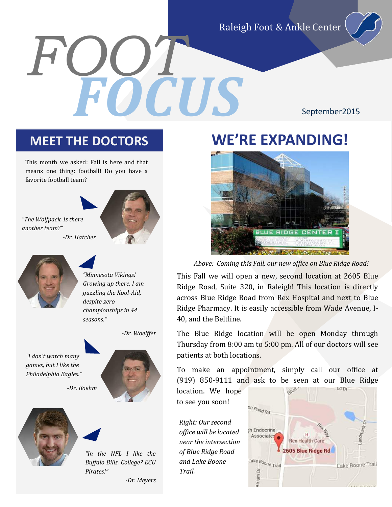Raleigh Foot & Ankle Center

*FOOT FOCUS*

September2015

This month we asked: Fall is here and that means one thing: football! Do you have a favorite football team?





*"Minnesota Vikings! Growing up there, I am guzzling the Kool-Aid, despite zero championships in 44 seasons."* 







*"In the NFL I like the Buffalo Bills. College? ECU Pirates!"*

#### *-Dr. Meyers*

### **MEET THE DOCTORS WE'RE EXPANDING!**



*Above: Coming this Fall, our new office on Blue Ridge Road!*

This Fall we will open a new, second location at 2605 Blue Ridge Road, Suite 320, in Raleigh! This location is directly across Blue Ridge Road from Rex Hospital and next to Blue Ridge Pharmacy. It is easily accessible from Wade Avenue, I-40, and the Beltline.

The Blue Ridge location will be open Monday through Thursday from 8:00 am to 5:00 pm. All of our doctors will see patients at both locations.

To make an appointment, simply call our office at (919) 850-9111 and ask to be seen at our Blue Ridge

location. We hope to see you soon!

*Right: Our second office will be located near the intersection of Blue Ridge Road and Lake Boone Trail.*

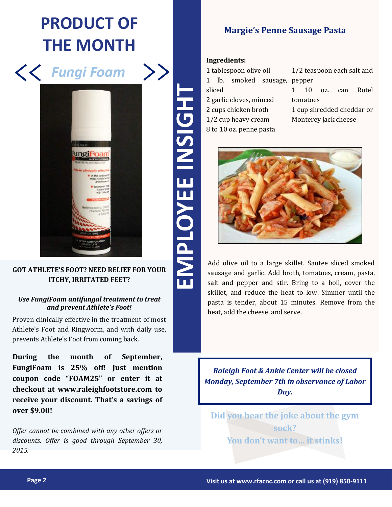## **PRODUCT OF THE MONTH**



#### **GOT ATHLETE'S FOOT? NEED RELIEF FOR YOUR ITCHY, IRRITATED FEET?**

#### *Use FungiFoam antifungal treatment to treat and prevent Athlete's Foot!*

Proven clinically effective in the treatment of most Athlete's Foot and Ringworm, and with daily use, prevents Athlete's Foot from coming back.

**During the month of September, FungiFoam is 25% off! Just mention coupon code "FOAM25" or enter it at checkout at www.raleighfootstore.com to receive your discount. That's a savings of over \$9.00!** 

*Offer cannot be combined with any other offers or discounts. Offer is good through September 30, 2015.*

**Margie's Penne Sausage Pasta**

#### **Ingredients:**

| 1 tablespoon olive oil  |  |                              |  | 1/2 teaspoon each salt and |    |        |     |       |
|-------------------------|--|------------------------------|--|----------------------------|----|--------|-----|-------|
|                         |  | 1 lb. smoked sausage, pepper |  |                            |    |        |     |       |
| sliced                  |  |                              |  |                            | 10 | $0Z$ . | can | Rotel |
| 2 garlic cloves, minced |  |                              |  | tomatoes                   |    |        |     |       |
| 2 cups chicken broth    |  |                              |  | 1 cup shredded cheddar or  |    |        |     |       |
| 1/2 cup heavy cream     |  |                              |  | Monterey jack cheese       |    |        |     |       |
| 8 to 10 oz. penne pasta |  |                              |  |                            |    |        |     |       |



Add olive oil to a large skillet. Sautee sliced smoked sausage and garlic. Add broth, tomatoes, cream, pasta, salt and pepper and stir. Bring to a boil, cover the skillet, and reduce the heat to low. Simmer until the pasta is tender, about 15 minutes. Remove from the heat, add the cheese, and serve.

*Raleigh Foot & Ankle Center will be closed Monday, September 7th in observance of Labor Day.*

**Did you hear the joke about the gym sock? You don't want to… it stinks!**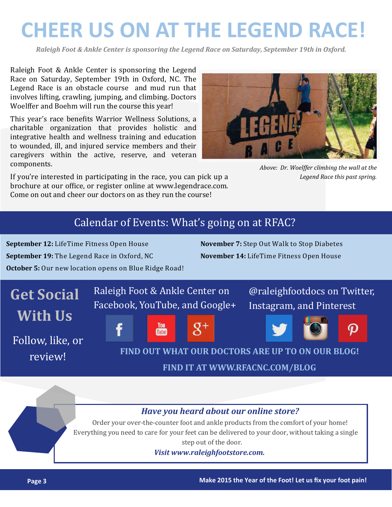# **CHEER US ON AT THE LEGEND RACE!**

*Raleigh Foot & Ankle Center is sponsoring the Legend Race on Saturday, September 19th in Oxford.*

Raleigh Foot & Ankle Center is sponsoring the Legend Race on Saturday, September 19th in Oxford, NC. The Legend Race is an obstacle course and mud run that involves lifting, crawling, jumping, and climbing. Doctors Woelffer and Boehm will run the course this year!

This year's race benefits Warrior Wellness Solutions, a charitable organization that provides holistic and integrative health and wellness training and education to wounded, ill, and injured service members and their caregivers within the active, reserve, and veteran components.



*Above: Dr. Woelffer climbing the wall at the Legend Race this past spring.*

If you're interested in participating in the race, you can pick up a brochure at our office, or register online at www.legendrace.com. Come on out and cheer our doctors on as they run the course!

### Calendar of Events: What's going on at RFAC?

**September 12:** LifeTime Fitness Open House **September 19:** The Legend Race in Oxford, NC **October 5:** Our new location opens on Blue Ridge Road! **November 7:** Step Out Walk to Stop Diabetes **November 14:** LifeTime Fitness Open House



### *Have you heard about our online store?*

Order your over-the-counter foot and ankle products from the comfort of your home! Everything you need to care for your feet can be delivered to your door, without taking a single step out of the door.

*Visit www.raleighfootstore.com.*